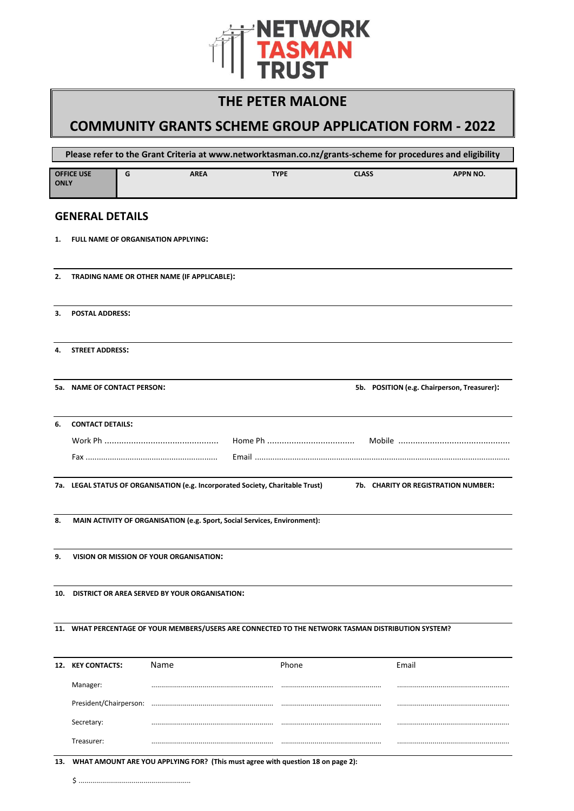

# **THE PETER MALONE**

# **COMMUNITY GRANTS SCHEME GROUP APPLICATION FORM - 2022**

| Please refer to the Grant Criteria at www.networktasman.co.nz/grants-scheme for procedures and eligibility |                             |                                               |             |                                                                                 |                                                                                                    |                                             |
|------------------------------------------------------------------------------------------------------------|-----------------------------|-----------------------------------------------|-------------|---------------------------------------------------------------------------------|----------------------------------------------------------------------------------------------------|---------------------------------------------|
| <b>ONLY</b>                                                                                                | <b>OFFICE USE</b>           | G                                             | <b>AREA</b> | <b>TYPE</b>                                                                     | <b>CLASS</b>                                                                                       | <b>APPN NO.</b>                             |
|                                                                                                            | <b>GENERAL DETAILS</b>      |                                               |             |                                                                                 |                                                                                                    |                                             |
| 1.                                                                                                         |                             | <b>FULL NAME OF ORGANISATION APPLYING:</b>    |             |                                                                                 |                                                                                                    |                                             |
| 2.                                                                                                         |                             | TRADING NAME OR OTHER NAME (IF APPLICABLE):   |             |                                                                                 |                                                                                                    |                                             |
| З.                                                                                                         | <b>POSTAL ADDRESS:</b>      |                                               |             |                                                                                 |                                                                                                    |                                             |
| 4.                                                                                                         | <b>STREET ADDRESS:</b>      |                                               |             |                                                                                 |                                                                                                    |                                             |
|                                                                                                            | 5a. NAME OF CONTACT PERSON: |                                               |             |                                                                                 |                                                                                                    | 5b. POSITION (e.g. Chairperson, Treasurer): |
| 6.                                                                                                         | <b>CONTACT DETAILS:</b>     |                                               |             |                                                                                 |                                                                                                    |                                             |
|                                                                                                            |                             |                                               |             |                                                                                 |                                                                                                    |                                             |
|                                                                                                            |                             |                                               |             |                                                                                 |                                                                                                    |                                             |
|                                                                                                            |                             |                                               |             | 7a. LEGAL STATUS OF ORGANISATION (e.g. Incorporated Society, Charitable Trust)  |                                                                                                    | 7b. CHARITY OR REGISTRATION NUMBER:         |
| 8.                                                                                                         |                             |                                               |             | MAIN ACTIVITY OF ORGANISATION (e.g. Sport, Social Services, Environment):       |                                                                                                    |                                             |
| 9.                                                                                                         |                             | VISION OR MISSION OF YOUR ORGANISATION:       |             |                                                                                 |                                                                                                    |                                             |
| 10.                                                                                                        |                             | DISTRICT OR AREA SERVED BY YOUR ORGANISATION: |             |                                                                                 |                                                                                                    |                                             |
|                                                                                                            |                             |                                               |             |                                                                                 | 11. WHAT PERCENTAGE OF YOUR MEMBERS/USERS ARE CONNECTED TO THE NETWORK TASMAN DISTRIBUTION SYSTEM? |                                             |
|                                                                                                            | 12. KEY CONTACTS:           | Name                                          |             | Phone                                                                           | Email                                                                                              |                                             |
|                                                                                                            | Manager:                    |                                               |             |                                                                                 |                                                                                                    |                                             |
|                                                                                                            |                             |                                               |             |                                                                                 |                                                                                                    |                                             |
|                                                                                                            | Secretary:                  |                                               |             |                                                                                 |                                                                                                    |                                             |
|                                                                                                            | Treasurer:                  |                                               |             |                                                                                 |                                                                                                    |                                             |
|                                                                                                            |                             |                                               |             |                                                                                 |                                                                                                    |                                             |
| 13.                                                                                                        |                             |                                               |             | WHAT AMOUNT ARE YOU APPLYING FOR? (This must agree with question 18 on page 2): |                                                                                                    |                                             |
|                                                                                                            | \$                          |                                               |             |                                                                                 |                                                                                                    |                                             |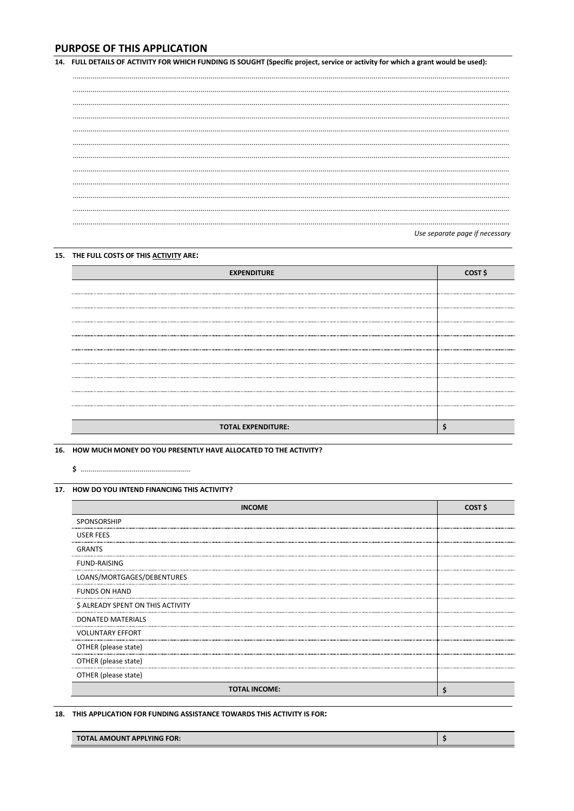# **PURPOSE OF THIS APPLICATION**

14. FULL DETAILS OF ACTIVITY FOR WHICH FUNDING IS SOUGHT (Specific project, service or activity for which a grant would be used):

| Use consessionses if noncons |  |
|------------------------------|--|

#### Use separate page if necessary

# 15. THE FULL COSTS OF THIS ACTIVITY ARE:

| <b>EXPENDITURE</b>        | COST S |
|---------------------------|--------|
|                           |        |
|                           |        |
|                           |        |
|                           |        |
|                           |        |
|                           |        |
|                           |        |
|                           |        |
|                           |        |
|                           |        |
| <b>TOTAL EXPENDITURE:</b> |        |

16. HOW MUCH MONEY DO YOU PRESENTLY HAVE ALLOCATED TO THE ACTIVITY?

## 17. HOW DO YOU INTEND FINANCING THIS ACTIVITY?

| <b>INCOME</b>                     | COST \$ |
|-----------------------------------|---------|
| <b>SPONSORSHIP</b>                |         |
| USER FEES                         |         |
| <b>GRANTS</b>                     |         |
| <b>FUND-RAISING</b>               |         |
| LOANS/MORTGAGES/DEBENTURES        |         |
| <b>FUNDS ON HAND</b>              |         |
| \$ ALREADY SPENT ON THIS ACTIVITY |         |
| <b>DONATED MATERIALS</b>          |         |
| <b>VOLUNTARY EFFORT</b>           |         |
| OTHER (please state)              |         |
| OTHER (please state)              |         |
| OTHER (please state)              |         |
| <b>TOTAL INCOME:</b>              | S       |

18. THIS APPLICATION FOR FUNDING ASSISTANCE TOWARDS THIS ACTIVITY IS FOR:

| <b>TOTAL AMOUNT APPLYING FOR:</b> |  |
|-----------------------------------|--|
|-----------------------------------|--|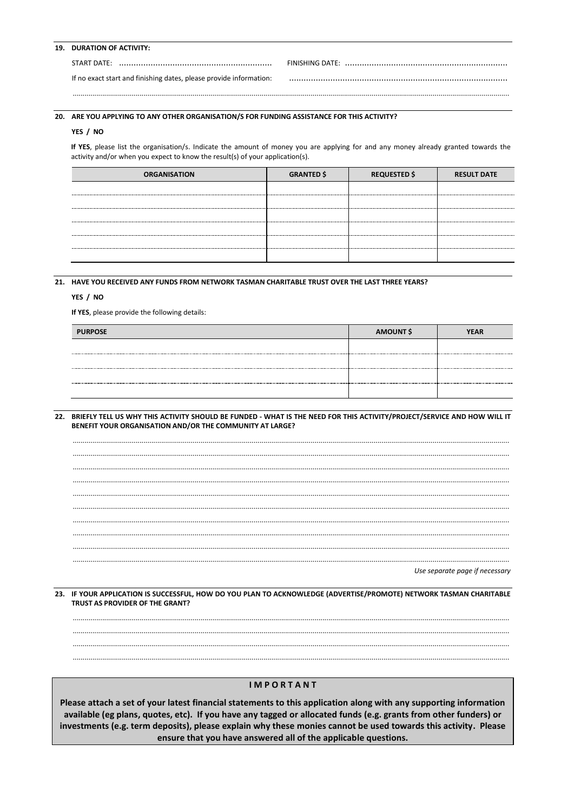### 19. DURATION OF ACTIVITY:

| START DATE: |  |
|-------------|--|
|             |  |

If no exact start and finishing dates, please provide information:

#### 20. ARE YOU APPLYING TO ANY OTHER ORGANISATION/S FOR FUNDING ASSISTANCE FOR THIS ACTIVITY?

#### YES / NO

If YES, please list the organisation/s. Indicate the amount of money you are applying for and any money already granted towards the activity and/or when you expect to know the result(s) of your application(s).

| <b>ORGANISATION</b> | <b>GRANTED \$</b> | <b>REQUESTED \$</b> | <b>RESULT DATE</b> |
|---------------------|-------------------|---------------------|--------------------|
|                     |                   |                     |                    |
|                     |                   |                     |                    |
|                     |                   |                     |                    |
|                     |                   |                     |                    |
|                     |                   |                     |                    |
|                     |                   |                     |                    |

## 21. HAVE YOU RECEIVED ANY FUNDS FROM NETWORK TASMAN CHARITABLE TRUST OVER THE LAST THREE YEARS?

#### YES / NO

If YES, please provide the following details:

| <b>PURPOSE</b> | AMOUNT \$ | <b>YEAR</b> |
|----------------|-----------|-------------|
|                |           |             |
|                |           |             |
|                |           |             |
|                |           |             |

22. BRIEFLY TELL US WHY THIS ACTIVITY SHOULD BE FUNDED - WHAT IS THE NEED FOR THIS ACTIVITY/PROJECT/SERVICE AND HOW WILL IT BENEFIT YOUR ORGANISATION AND/OR THE COMMUNITY AT LARGE?



Use separate page if necessary

23. IF YOUR APPLICATION IS SUCCESSFUL, HOW DO YOU PLAN TO ACKNOWLEDGE (ADVERTISE/PROMOTE) NETWORK TASMAN CHARITABLE TRUST AS PROVIDER OF THE GRANT?

### **IMPORTANT**

Please attach a set of your latest financial statements to this application along with any supporting information available (eg plans, quotes, etc). If you have any tagged or allocated funds (e.g. grants from other funders) or investments (e.g. term deposits), please explain why these monies cannot be used towards this activity. Please ensure that you have answered all of the applicable questions.